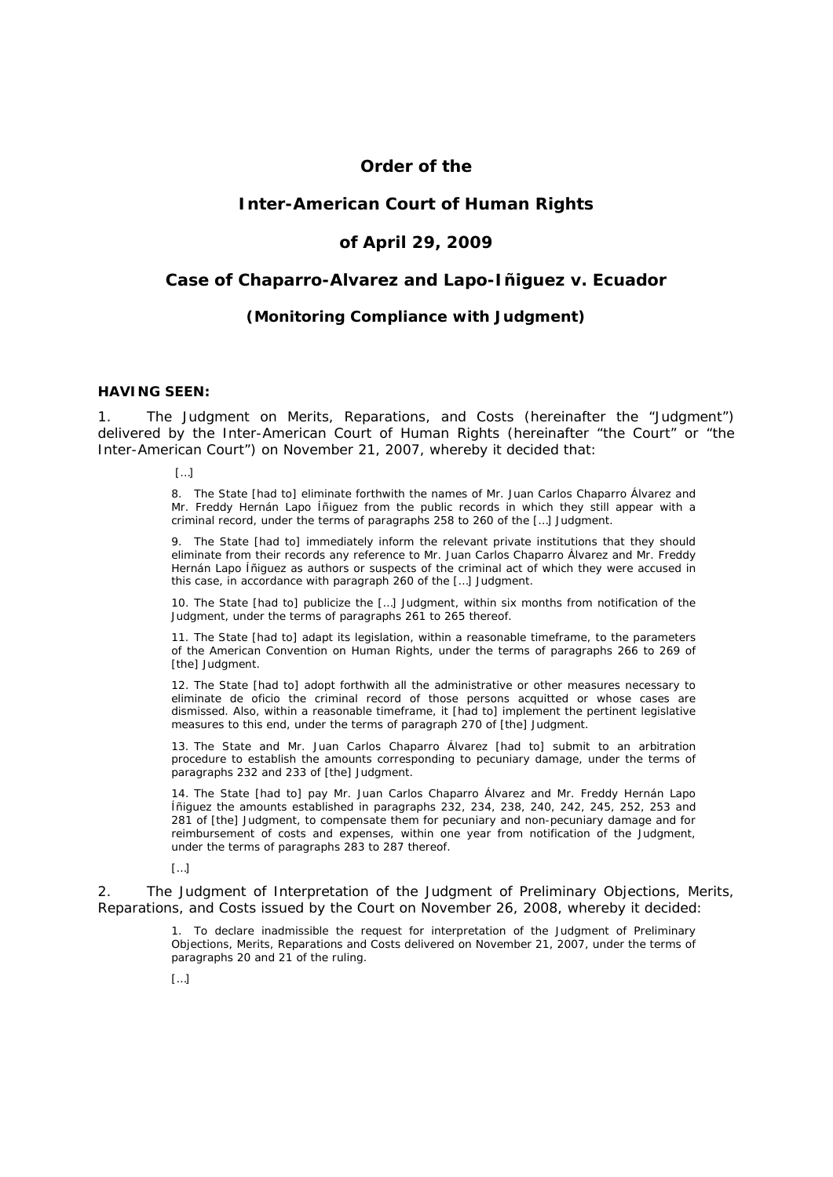# **Order of the**

## **Inter-American Court of Human Rights**

### **of April 29, 2009**

### **Case of Chaparro-Alvarez and Lapo-Iñiguez** *v.* **Ecuador**

### *(Monitoring Compliance with Judgment)*

### **HAVING SEEN:**

1. The Judgment on Merits, Reparations, and Costs (hereinafter the "Judgment") delivered by the Inter-American Court of Human Rights (hereinafter "the Court" or "the Inter-American Court") on November 21, 2007, whereby it decided that:

 $[$ ... $]$ 

8. The State [had to] eliminate forthwith the names of Mr. Juan Carlos Chaparro Álvarez and Mr. Freddy Hernán Lapo Íñiguez from the public records in which they still appear with a criminal record, under the terms of paragraphs 258 to 260 of the […] Judgment.

9. The State [had to] immediately inform the relevant private institutions that they should eliminate from their records any reference to Mr. Juan Carlos Chaparro Álvarez and Mr. Freddy Hernán Lapo Íñiguez as authors or suspects of the criminal act of which they were accused in this case, in accordance with paragraph 260 of the […] Judgment.

10. The State [had to] publicize the […] Judgment, within six months from notification of the Judgment, under the terms of paragraphs 261 to 265 thereof.

11. The State [had to] adapt its legislation, within a reasonable timeframe, to the parameters of the American Convention on Human Rights, under the terms of paragraphs 266 to 269 of [the] Judgment.

12. The State [had to] adopt forthwith all the administrative or other measures necessary to eliminate *de oficio* the criminal record of those persons acquitted or whose cases are dismissed. Also, within a reasonable timeframe, it [had to] implement the pertinent legislative measures to this end, under the terms of paragraph 270 of [the] Judgment.

13. The State and Mr. Juan Carlos Chaparro Álvarez [had to] submit to an arbitration procedure to establish the amounts corresponding to pecuniary damage, under the terms of paragraphs 232 and 233 of [the] Judgment.

14. The State [had to] pay Mr. Juan Carlos Chaparro Álvarez and Mr. Freddy Hernán Lapo Íñiguez the amounts established in paragraphs 232, 234, 238, 240, 242, 245, 252, 253 and 281 of [the] Judgment, to compensate them for pecuniary and non-pecuniary damage and for reimbursement of costs and expenses, within one year from notification of the Judgment, under the terms of paragraphs 283 to 287 thereof.

 $\[ \ ]$ 

2. The Judgment of Interpretation of the Judgment of Preliminary Objections, Merits, Reparations, and Costs issued by the Court on November 26, 2008, whereby it decided:

> 1. To declare inadmissible the request for interpretation of the Judgment of Preliminary Objections, Merits, Reparations and Costs delivered on November 21, 2007, under the terms of paragraphs 20 and 21 of the ruling.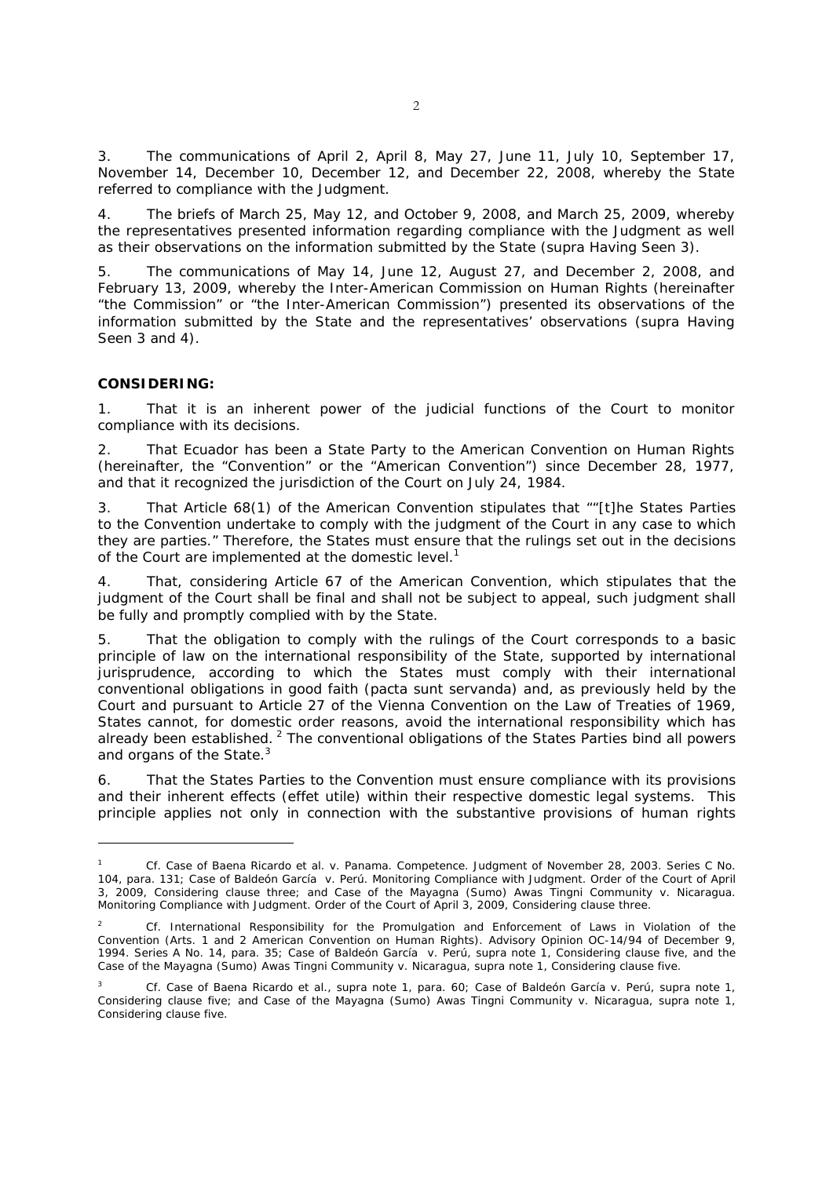3. The communications of April 2, April 8, May 27, June 11, July 10, September 17, November 14, December 10, December 12, and December 22, 2008, whereby the State referred to compliance with the Judgment.

4. The briefs of March 25, May 12, and October 9, 2008, and March 25, 2009, whereby the representatives presented information regarding compliance with the Judgment as well as their observations on the information submitted by the State (*supra* Having Seen 3).

5. The communications of May 14, June 12, August 27, and December 2, 2008, and February 13, 2009, whereby the Inter-American Commission on Human Rights (hereinafter "the Commission" or "the Inter-American Commission") presented its observations of the information submitted by the State and the representatives' observations (*supra* Having Seen 3 and 4).

### **CONSIDERING:**

-

1. That it is an inherent power of the judicial functions of the Court to monitor compliance with its decisions.

2. That Ecuador has been a State Party to the American Convention on Human Rights (hereinafter, the "Convention" or the "American Convention") since December 28, 1977, and that it recognized the jurisdiction of the Court on July 24, 1984.

3. That Article 68(1) of the American Convention stipulates that ""[t]he States Parties to the Convention undertake to comply with the judgment of the Court in any case to which they are parties." Therefore, the States must ensure that the rulings set out in the decisions of the Court are implemented at the domestic level.<sup>1</sup>

4. That, considering Article 67 of the American Convention, which stipulates that the judgment of the Court shall be final and shall not be subject to appeal, such judgment shall be fully and promptly complied with by the State.

5. That the obligation to comply with the rulings of the Court corresponds to a basic principle of law on the international responsibility of the State, supported by international jurisprudence, according to which the States must comply with their international conventional obligations in good faith *(pacta sunt servanda)* and, as previously held by the Court and pursuant to Article 27 of the Vienna Convention on the Law of Treaties of 1969, States cannot, for domestic order reasons, avoid the international responsibility which has already been established. <sup>2</sup> The conventional obligations of the States Parties bind all powers and organs of the State.<sup>3</sup>

6. That the States Parties to the Convention must ensure compliance with its provisions and their inherent effects (*effet utile*) within their respective domestic legal systems. This principle applies not only in connection with the substantive provisions of human rights

<sup>1</sup> *Cf. Case of Baena Ricardo et al. v. Panama*. *Competence.* Judgment of November 28, 2003. Series C No. 104, para. 131; *Case of Baldeón García v. Perú*. Monitoring Compliance with Judgment. Order of the Court of April 3, 2009, Considering clause three; and *Case of the Mayagna (Sumo) Awas Tingni Community v. Nicaragua.* Monitoring Compliance with Judgment. Order of the Court of April 3, 2009, Considering clause three.

<sup>2</sup> *Cf. International Responsibility for the Promulgation and Enforcement of Laws in Violation of the Convention* (Arts. 1 and 2 American Convention on Human Rights). Advisory Opinion OC-14/94 of December 9, 1994. Series A No. 14, para. 35; *Case of Baldeón García v. Perú*, *supra* note 1, Considering clause five, and the *Case of the Mayagna (Sumo) Awas Tingni Community v. Nicaragua, supra* note 1, Considering clause five.

<sup>3</sup> *Cf. Case of Baena Ricardo et al.*, *supra* note 1, para. 60; *Case of Baldeón García v. Perú*, *supra* note 1, Considering clause five; and *Case of the Mayagna (Sumo) Awas Tingni Community v. Nicaragua, supra* note 1, Considering clause five.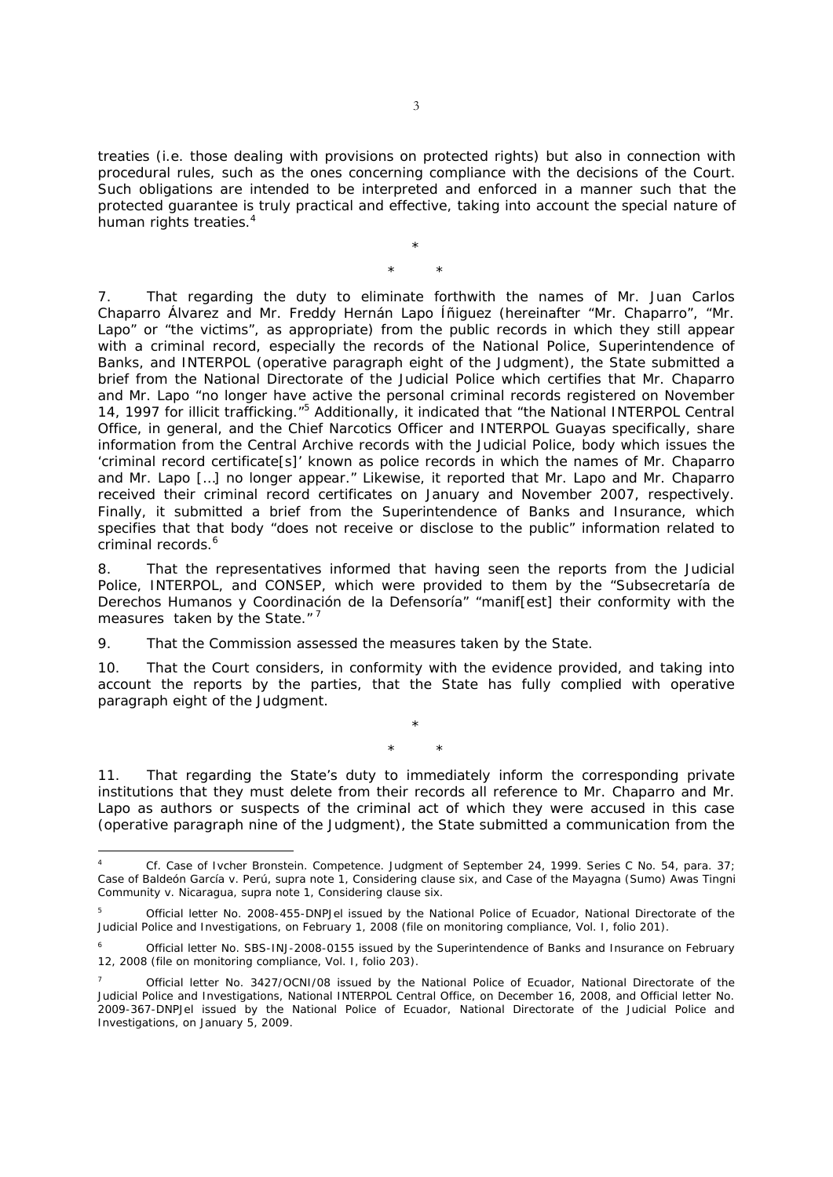treaties (*i.e.* those dealing with provisions on protected rights) but also in connection with procedural rules, such as the ones concerning compliance with the decisions of the Court. Such obligations are intended to be interpreted and enforced in a manner such that the protected guarantee is truly practical and effective, taking into account the special nature of human rights treaties.<sup>4</sup>

> \* \* \*

7. That regarding the duty to eliminate forthwith the names of Mr. Juan Carlos Chaparro Álvarez and Mr. Freddy Hernán Lapo Íñiguez (hereinafter "Mr. Chaparro", "Mr. Lapo" or "the victims", as appropriate) from the public records in which they still appear with a criminal record, especially the records of the National Police, Superintendence of Banks, and INTERPOL *(operative paragraph eight of the Judgment),* the State submitted a brief from the National Directorate of the Judicial Police which certifies that Mr. Chaparro and Mr. Lapo "no longer have active the personal criminal records registered on November 14, 1997 for illicit trafficking."<sup>5</sup> Additionally, it indicated that "the National INTERPOL Central Office, in general, and the Chief Narcotics Officer and INTERPOL Guayas specifically, share information from the Central Archive records with the Judicial Police, body which issues the 'criminal record certificate[s]' known as police records in which the names of Mr. Chaparro and Mr. Lapo […] no longer appear." Likewise, it reported that Mr. Lapo and Mr. Chaparro received their criminal record certificates on January and November 2007, respectively. Finally, it submitted a brief from the Superintendence of Banks and Insurance, which specifies that that body "does not receive or disclose to the public" information related to criminal records.<sup>6</sup>

8. That the representatives informed that having seen the reports from the Judicial Police, INTERPOL, and CONSEP, which were provided to them by the "Subsecretaría de Derechos Humanos y Coordinación de la Defensoría" "manif[est] their conformity with the measures taken by the State."<sup>7</sup>

9. That the Commission assessed the measures taken by the State.

10. That the Court considers, in conformity with the evidence provided, and taking into account the reports by the parties, that the State has fully complied with operative paragraph eight of the Judgment.

\*

\* \*

11. That regarding the State's duty to immediately inform the corresponding private institutions that they must delete from their records all reference to Mr. Chaparro and Mr. Lapo as authors or suspects of the criminal act of which they were accused in this case *(operative paragraph nine of the Judgment),* the State submitted a communication from the

<sup>-</sup>4 *Cf. Case of Ivcher Bronstein.* Competence. Judgment of September 24, 1999. Series C No. 54, para. 37; *Case of Baldeón García v. Perú*, *supra* note 1, Considering clause six, and *Case of the Mayagna (Sumo) Awas Tingni Community v. Nicaragua, supra* note 1, Considering clause six.

<sup>5</sup> Official letter No. 2008-455-DNPJel issued by the National Police of Ecuador, National Directorate of the Judicial Police and Investigations, on February 1, 2008 (file on monitoring compliance, Vol. I, folio 201).

<sup>6</sup> Official letter No. SBS-INJ-2008-0155 issued by the Superintendence of Banks and Insurance on February 12, 2008 (file on monitoring compliance, Vol. I, folio 203).

<sup>7</sup> Official letter No. 3427/OCNI/08 issued by the National Police of Ecuador, National Directorate of the Judicial Police and Investigations, National INTERPOL Central Office, on December 16, 2008, and Official letter No. 2009-367-DNPJel issued by the National Police of Ecuador, National Directorate of the Judicial Police and Investigations, on January 5, 2009.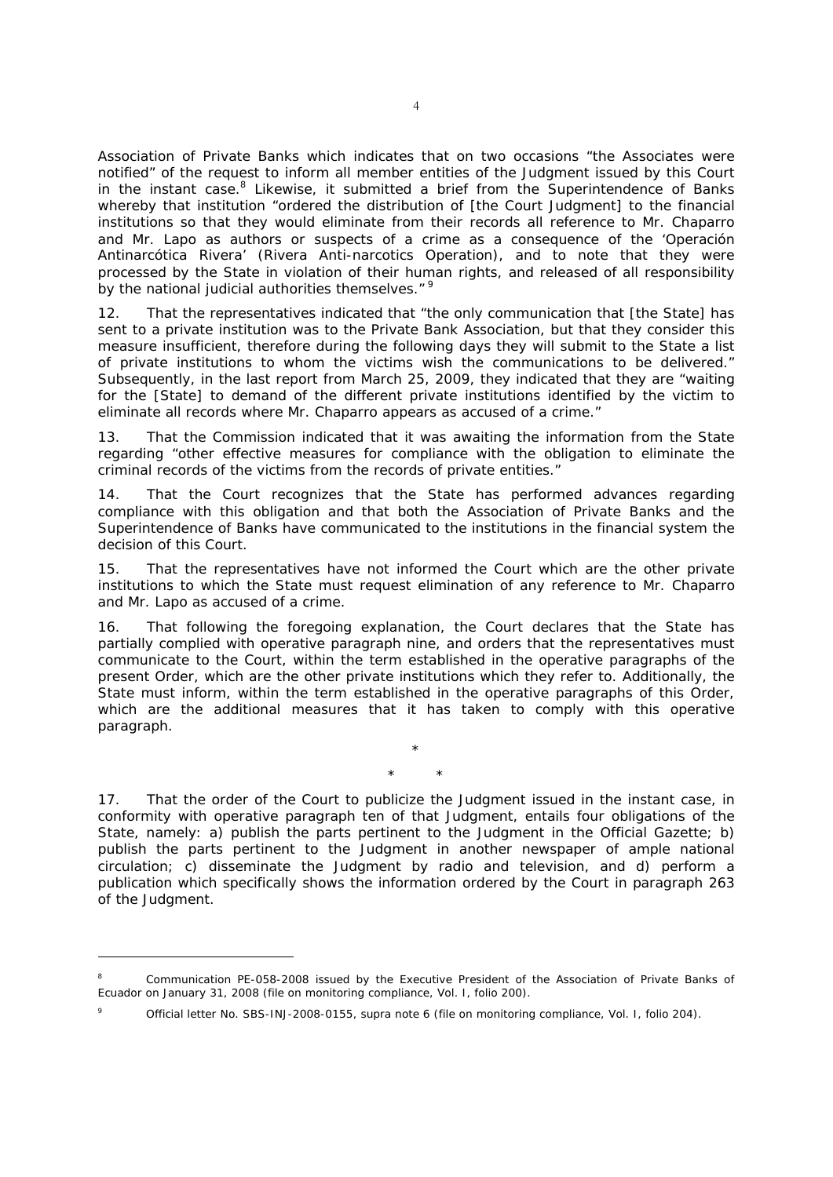Association of Private Banks which indicates that on two occasions "the Associates were notified" of the request to inform all member entities of the Judgment issued by this Court in the instant case.<sup>8</sup> Likewise, it submitted a brief from the Superintendence of Banks whereby that institution "ordered the distribution of [the Court Judgment] to the financial institutions so that they would eliminate from their records all reference to Mr. Chaparro and Mr. Lapo as authors or suspects of a crime as a consequence of the 'Operación Antinarcótica Rivera' (Rivera Anti-narcotics Operation), and to note that they were processed by the State in violation of their human rights, and released of all responsibility by the national judicial authorities themselves."<sup>9</sup>

12. That the representatives indicated that "the only communication that [the State] has sent to a private institution was to the Private Bank Association, but that they consider this measure insufficient, therefore during the following days they will submit to the State a list of private institutions to whom the victims wish the communications to be delivered." Subsequently, in the last report from March 25, 2009, they indicated that they are "waiting for the [State] to demand of the different private institutions identified by the victim to eliminate all records where Mr. Chaparro appears as accused of a crime."

13. That the Commission indicated that it was awaiting the information from the State regarding "other effective measures for compliance with the obligation to eliminate the criminal records of the victims from the records of private entities."

14. That the Court recognizes that the State has performed advances regarding compliance with this obligation and that both the Association of Private Banks and the Superintendence of Banks have communicated to the institutions in the financial system the decision of this Court.

15. That the representatives have not informed the Court which are the other private institutions to which the State must request elimination of any reference to Mr. Chaparro and Mr. Lapo as accused of a crime.

16. That following the foregoing explanation, the Court declares that the State has partially complied with operative paragraph nine, and orders that the representatives must communicate to the Court, within the term established in the operative paragraphs of the present Order, which are the other private institutions which they refer to. Additionally, the State must inform, within the term established in the operative paragraphs of this Order, which are the additional measures that it has taken to comply with this operative paragraph.

> \* \* \*

17. That the order of the Court to publicize the Judgment issued in the instant case, in conformity with operative paragraph ten of that Judgment, entails four obligations of the State, namely: a) publish the parts pertinent to the Judgment in the Official Gazette; b) publish the parts pertinent to the Judgment in another newspaper of ample national circulation; c) disseminate the Judgment by radio and television, and d) perform a publication which specifically shows the information ordered by the Court in paragraph 263 of the Judgment.

-

<sup>8</sup> Communication PE-058-2008 issued by the Executive President of the Association of Private Banks of Ecuador on January 31, 2008 (file on monitoring compliance, Vol. I, folio 200).

<sup>9</sup> Official letter No. SBS-INJ-2008-0155, *supra* note 6 (file on monitoring compliance, Vol. I, folio 204).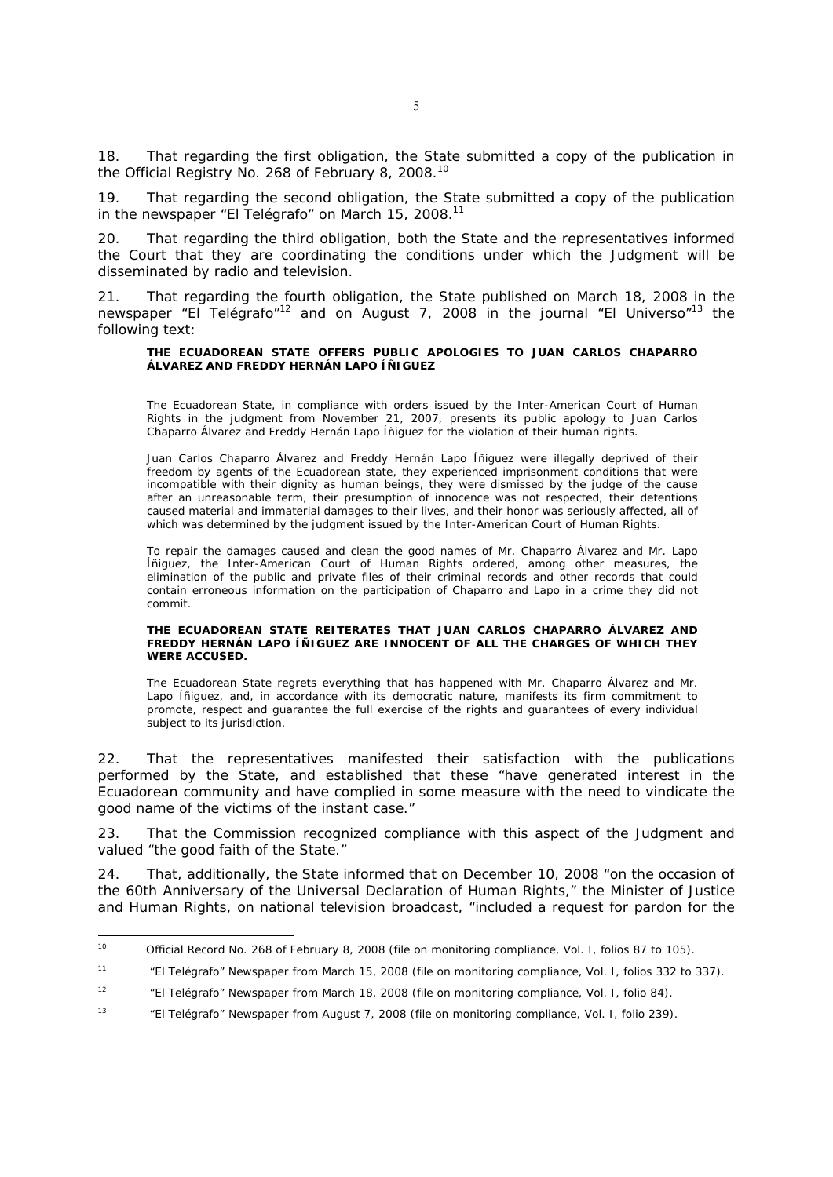18. That regarding the first obligation, the State submitted a copy of the publication in the Official Registry No. 268 of February 8, 2008.<sup>10</sup>

19. That regarding the second obligation, the State submitted a copy of the publication in the newspaper "El Telégrafo" on March 15, 2008.<sup>11</sup>

20. That regarding the third obligation, both the State and the representatives informed the Court that they are coordinating the conditions under which the Judgment will be disseminated by radio and television.

21. That regarding the fourth obligation, the State published on March 18, 2008 in the newspaper "El Telégrafo"<sup>12</sup> and on August 7, 2008 in the journal "El Universo"<sup>13</sup> the following text:

#### **THE ECUADOREAN STATE OFFERS PUBLIC APOLOGIES TO JUAN CARLOS CHAPARRO ÁLVAREZ AND FREDDY HERNÁN LAPO ÍÑIGUEZ**

The Ecuadorean State, in compliance with orders issued by the Inter-American Court of Human Rights in the judgment from November 21, 2007, presents its public apology to Juan Carlos Chaparro Álvarez and Freddy Hernán Lapo Íñiguez for the violation of their human rights.

Juan Carlos Chaparro Álvarez and Freddy Hernán Lapo Íñiguez were illegally deprived of their freedom by agents of the Ecuadorean state, they experienced imprisonment conditions that were incompatible with their dignity as human beings, they were dismissed by the judge of the cause after an unreasonable term, their presumption of innocence was not respected, their detentions caused material and immaterial damages to their lives, and their honor was seriously affected, all of which was determined by the judgment issued by the Inter-American Court of Human Rights.

To repair the damages caused and clean the good names of Mr. Chaparro Álvarez and Mr. Lapo Íñiguez, the Inter-American Court of Human Rights ordered, among other measures, the elimination of the public and private files of their criminal records and other records that could contain erroneous information on the participation of Chaparro and Lapo in a crime they did not commit.

#### **THE ECUADOREAN STATE REITERATES THAT JUAN CARLOS CHAPARRO ÁLVAREZ AND FREDDY HERNÁN LAPO ÍÑIGUEZ ARE INNOCENT OF ALL THE CHARGES OF WHICH THEY WERE ACCUSED.**

The Ecuadorean State regrets everything that has happened with Mr. Chaparro Álvarez and Mr. Lapo Íñiquez, and, in accordance with its democratic nature, manifests its firm commitment to promote, respect and guarantee the full exercise of the rights and guarantees of every individual subject to its jurisdiction.

22. That the representatives manifested their satisfaction with the publications performed by the State, and established that these "have generated interest in the Ecuadorean community and have complied in some measure with the need to vindicate the good name of the victims of the instant case."

23. That the Commission recognized compliance with this aspect of the Judgment and valued "the good faith of the State."

24. That, additionally, the State informed that on December 10, 2008 "on the occasion of the 60th Anniversary of the Universal Declaration of Human Rights," the Minister of Justice and Human Rights, on national television broadcast, "included a request for pardon for the

 $10$ 10 Official Record No. 268 of February 8, 2008 (file on monitoring compliance, Vol. I, folios 87 to 105).

<sup>11 &</sup>quot;El Telégrafo" Newspaper from March 15, 2008 (file on monitoring compliance, Vol. I, folios 332 to 337).

<sup>&</sup>lt;sup>12</sup> "El Telégrafo" Newspaper from March 18, 2008 (file on monitoring compliance, Vol. I, folio 84).

<sup>&</sup>lt;sup>13</sup> "El Telégrafo" Newspaper from August 7, 2008 (file on monitoring compliance, Vol. I, folio 239).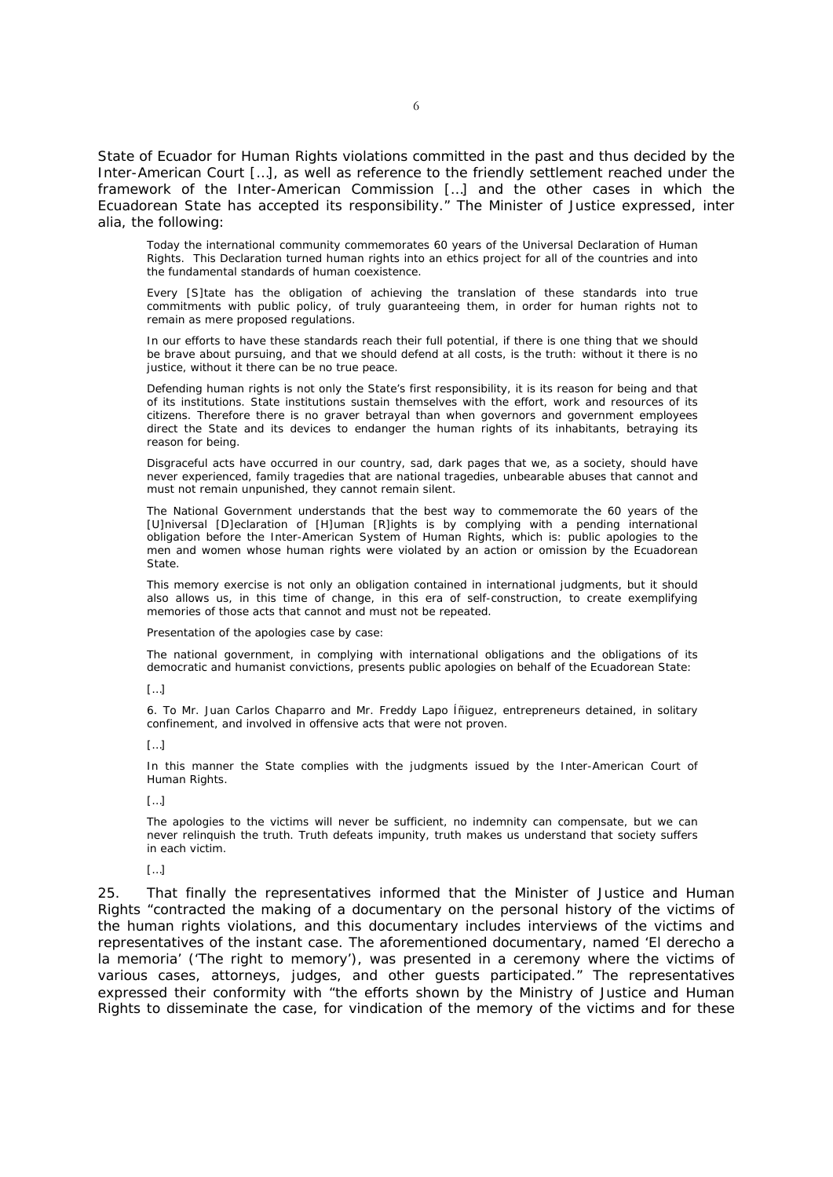State of Ecuador for Human Rights violations committed in the past and thus decided by the Inter-American Court […], as well as reference to the friendly settlement reached under the framework of the Inter-American Commission […] and the other cases in which the Ecuadorean State has accepted its responsibility." The Minister of Justice expressed, *inter alia*, the following:

Today the international community commemorates 60 years of the Universal Declaration of Human Rights. This Declaration turned human rights into an ethics project for all of the countries and into the fundamental standards of human coexistence.

Every [S]tate has the obligation of achieving the translation of these standards into true commitments with public policy, of truly guaranteeing them, in order for human rights not to remain as mere proposed regulations.

In our efforts to have these standards reach their full potential, if there is one thing that we should be brave about pursuing, and that we should defend at all costs, is the truth: without it there is no justice, without it there can be no true peace.

Defending human rights is not only the State's first responsibility, it is its reason for being and that of its institutions. State institutions sustain themselves with the effort, work and resources of its citizens. Therefore there is no graver betrayal than when governors and government employees direct the State and its devices to endanger the human rights of its inhabitants, betraying its reason for being.

Disgraceful acts have occurred in our country, sad, dark pages that we, as a society, should have never experienced, family tragedies that are national tragedies, unbearable abuses that cannot and must not remain unpunished, they cannot remain silent.

The National Government understands that the best way to commemorate the 60 years of the [U]niversal [D]eclaration of [H]uman [R]ights is by complying with a pending international obligation before the Inter-American System of Human Rights, which is: public apologies to the men and women whose human rights were violated by an action or omission by the Ecuadorean State.

This memory exercise is not only an obligation contained in international judgments, but it should also allows us, in this time of change, in this era of self-construction, to create exemplifying memories of those acts that cannot and must not be repeated.

Presentation of the apologies case by case:

The national government, in complying with international obligations and the obligations of its democratic and humanist convictions, presents public apologies on behalf of the Ecuadorean State:

[…]

6. To Mr. Juan Carlos Chaparro and Mr. Freddy Lapo Íñiguez, entrepreneurs detained, in solitary confinement, and involved in offensive acts that were not proven.

 $\lceil \dots \rceil$ 

In this manner the State complies with the judgments issued by the Inter-American Court of Human Rights.

 $[$ [… $]$ ]

The apologies to the victims will never be sufficient, no indemnity can compensate, but we can never relinquish the truth. Truth defeats impunity, truth makes us understand that society suffers in each victim.

### […]

25. That finally the representatives informed that the Minister of Justice and Human Rights "contracted the making of a documentary on the personal history of the victims of the human rights violations, and this documentary includes interviews of the victims and representatives of the instant case. The aforementioned documentary, named 'El derecho a la memoria' ('The right to memory'), was presented in a ceremony where the victims of various cases, attorneys, judges, and other guests participated." The representatives expressed their conformity with "the efforts shown by the Ministry of Justice and Human Rights to disseminate the case, for vindication of the memory of the victims and for these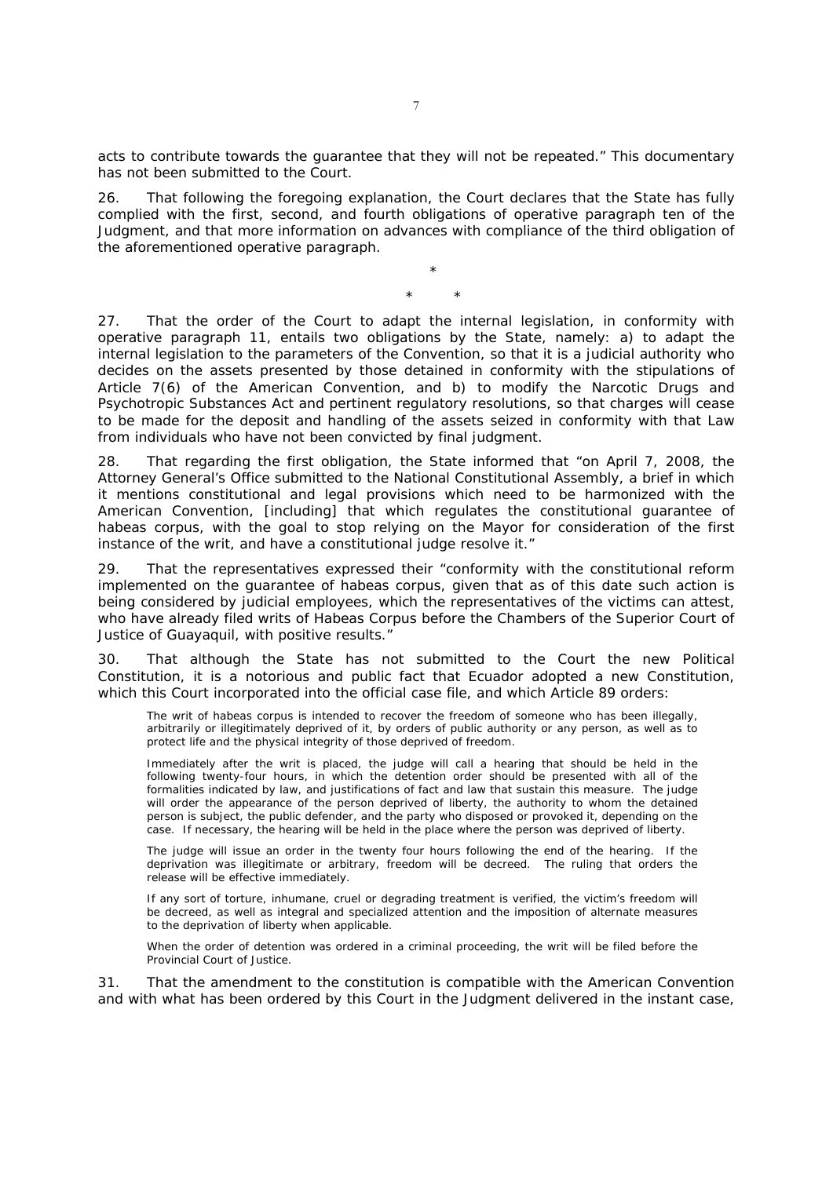acts to contribute towards the guarantee that they will not be repeated." This documentary has not been submitted to the Court.

26. That following the foregoing explanation, the Court declares that the State has fully complied with the first, second, and fourth obligations of operative paragraph ten of the Judgment, and that more information on advances with compliance of the third obligation of the aforementioned operative paragraph.

> \* \* \*

27. That the order of the Court to adapt the internal legislation, in conformity with operative paragraph 11, entails two obligations by the State, namely: a) to adapt the internal legislation to the parameters of the Convention, so that it is a judicial authority who decides on the assets presented by those detained in conformity with the stipulations of Article 7(6) of the American Convention, and b) to modify the Narcotic Drugs and Psychotropic Substances Act and pertinent regulatory resolutions, so that charges will cease to be made for the deposit and handling of the assets seized in conformity with that Law from individuals who have not been convicted by final judgment.

28. That regarding the first obligation, the State informed that "on April 7, 2008, the Attorney General's Office submitted to the National Constitutional Assembly, a brief in which it mentions constitutional and legal provisions which need to be harmonized with the American Convention, [including] that which regulates the constitutional guarantee of habeas corpus, with the goal to stop relying on the Mayor for consideration of the first instance of the writ, and have a constitutional judge resolve it."

29. That the representatives expressed their "conformity with the constitutional reform implemented on the guarantee of habeas corpus, given that as of this date such action is being considered by judicial employees, which the representatives of the victims can attest, who have already filed writs of Habeas Corpus before the Chambers of the Superior Court of Justice of Guayaquil, with positive results."

30. That although the State has not submitted to the Court the new Political Constitution, it is a notorious and public fact that Ecuador adopted a new Constitution, which this Court incorporated into the official case file, and which Article 89 orders:

The writ of habeas corpus is intended to recover the freedom of someone who has been illegally, arbitrarily or illegitimately deprived of it, by orders of public authority or any person, as well as to protect life and the physical integrity of those deprived of freedom.

Immediately after the writ is placed, the judge will call a hearing that should be held in the following twenty-four hours, in which the detention order should be presented with all of the formalities indicated by law, and justifications of fact and law that sustain this measure. The judge will order the appearance of the person deprived of liberty, the authority to whom the detained person is subject, the public defender, and the party who disposed or provoked it, depending on the case. If necessary, the hearing will be held in the place where the person was deprived of liberty.

The judge will issue an order in the twenty four hours following the end of the hearing. If the deprivation was illegitimate or arbitrary, freedom will be decreed. The ruling that orders the release will be effective immediately.

If any sort of torture, inhumane, cruel or degrading treatment is verified, the victim's freedom will be decreed, as well as integral and specialized attention and the imposition of alternate measures to the deprivation of liberty when applicable.

When the order of detention was ordered in a criminal proceeding, the writ will be filed before the Provincial Court of Justice.

31. That the amendment to the constitution is compatible with the American Convention and with what has been ordered by this Court in the Judgment delivered in the instant case,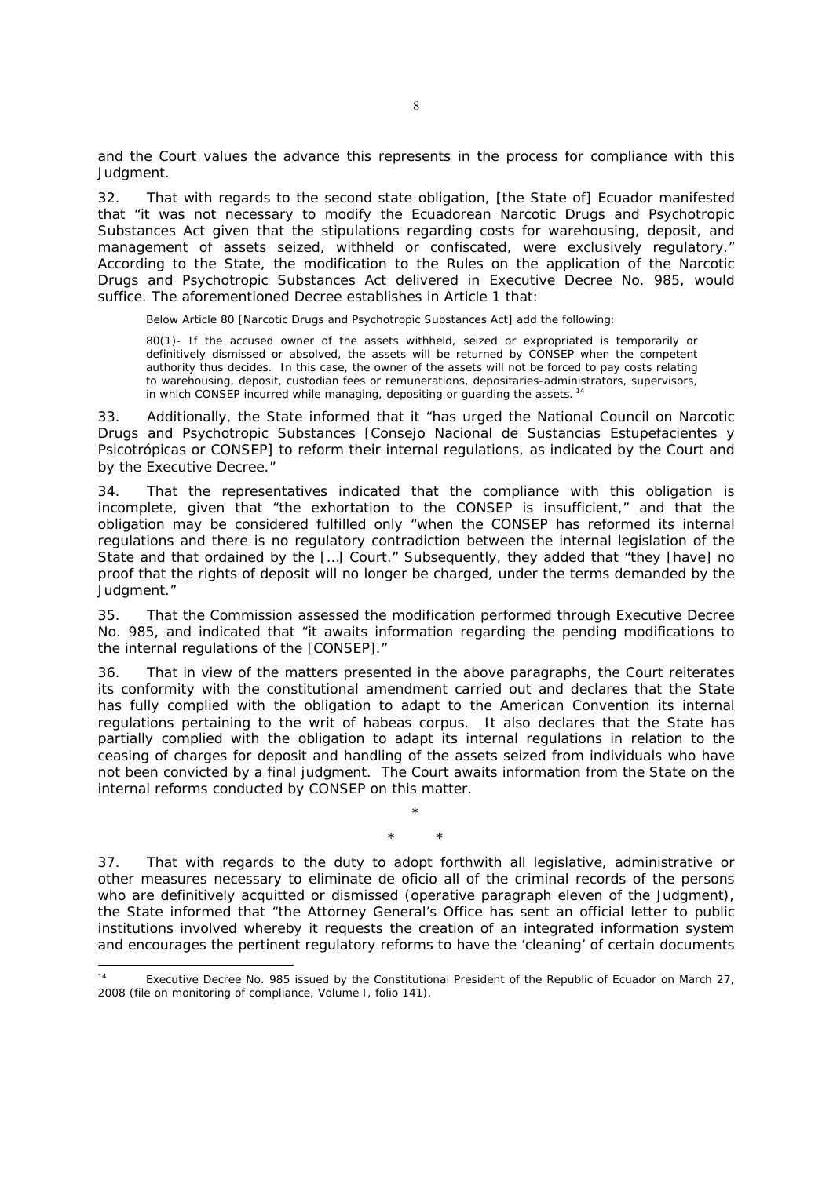and the Court values the advance this represents in the process for compliance with this Judgment.

32. That with regards to the second state obligation, [the State of] Ecuador manifested that "it was not necessary to modify the Ecuadorean Narcotic Drugs and Psychotropic Substances Act given that the stipulations regarding costs for warehousing, deposit, and management of assets seized, withheld or confiscated, were exclusively regulatory." According to the State, the modification to the Rules on the application of the Narcotic Drugs and Psychotropic Substances Act delivered in Executive Decree No. 985, would suffice. The aforementioned Decree establishes in Article 1 that:

Below Article 80 [Narcotic Drugs and Psychotropic Substances Act] add the following:

80(1)- If the accused owner of the assets withheld, seized or expropriated is temporarily or definitively dismissed or absolved, the assets will be returned by CONSEP when the competent authority thus decides. In this case, the owner of the assets will not be forced to pay costs relating to warehousing, deposit, custodian fees or remunerations, depositaries-administrators, supervisors, in which CONSEP incurred while managing, depositing or guarding the assets.<sup>14</sup>

33. Additionally, the State informed that it "has urged the National Council on Narcotic Drugs and Psychotropic Substances [Consejo Nacional de Sustancias Estupefacientes y Psicotrópicas or CONSEP] to reform their internal regulations, as indicated by the Court and by the Executive Decree."

34. That the representatives indicated that the compliance with this obligation is incomplete, given that "the exhortation to the CONSEP is insufficient," and that the obligation may be considered fulfilled only "when the CONSEP has reformed its internal regulations and there is no regulatory contradiction between the internal legislation of the State and that ordained by the […] Court." Subsequently, they added that "they [have] no proof that the rights of deposit will no longer be charged, under the terms demanded by the Judgment."

35. That the Commission assessed the modification performed through Executive Decree No. 985, and indicated that "it awaits information regarding the pending modifications to the internal regulations of the [CONSEP]."

36. That in view of the matters presented in the above paragraphs, the Court reiterates its conformity with the constitutional amendment carried out and declares that the State has fully complied with the obligation to adapt to the American Convention its internal regulations pertaining to the writ of habeas corpus. It also declares that the State has partially complied with the obligation to adapt its internal regulations in relation to the ceasing of charges for deposit and handling of the assets seized from individuals who have not been convicted by a final judgment. The Court awaits information from the State on the internal reforms conducted by CONSEP on this matter.

37. That with regards to the duty to adopt forthwith all legislative, administrative or other measures necessary to eliminate *de oficio* all of the criminal records of the persons who are definitively acquitted or dismissed (*operative paragraph eleven of the Judgment*), the State informed that "the Attorney General's Office has sent an official letter to public institutions involved whereby it requests the creation of an integrated information system and encourages the pertinent regulatory reforms to have the 'cleaning' of certain documents

\* \* \*

1

<sup>14</sup> Executive Decree No. 985 issued by the Constitutional President of the Republic of Ecuador on March 27, 2008 (file on monitoring of compliance, Volume I, folio 141).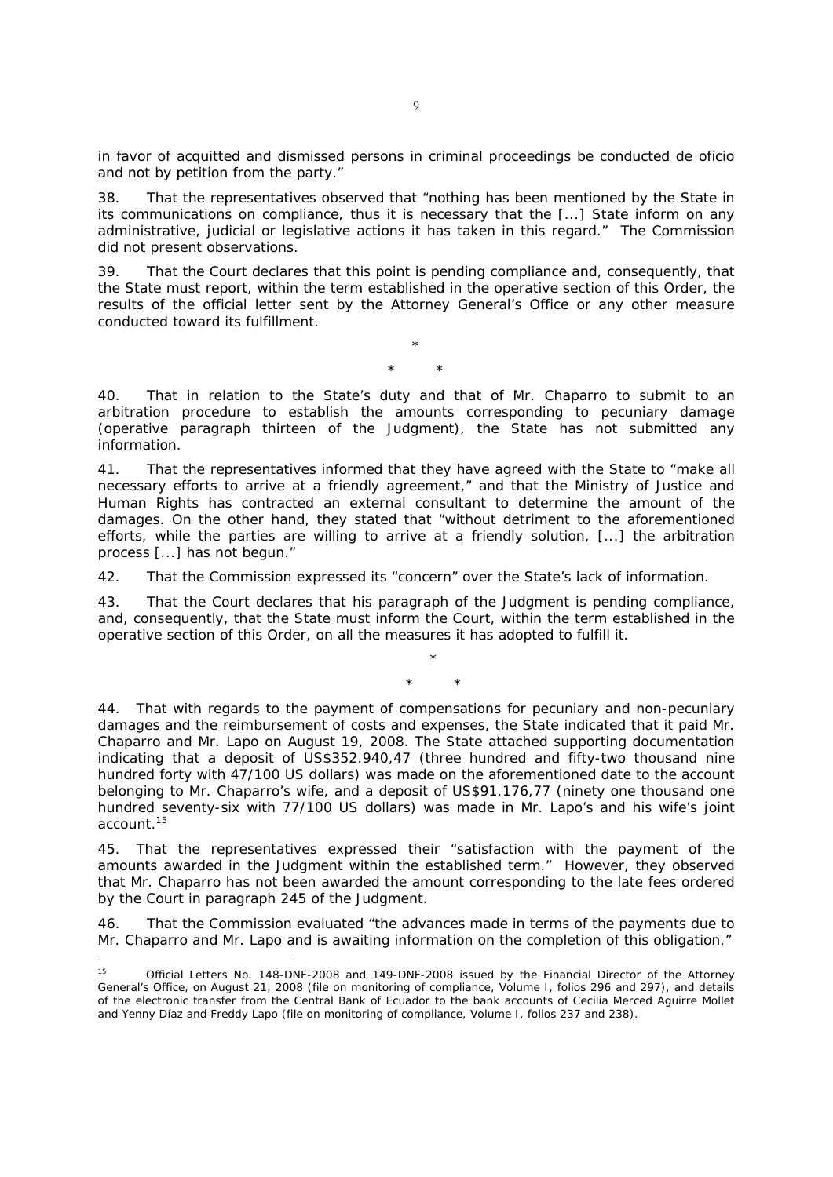in favor of acquitted and dismissed persons in criminal proceedings be conducted *de oficio* and not by petition from the party."

38. That the representatives observed that "nothing has been mentioned by the State in its communications on compliance, thus it is necessary that the [...] State inform on any administrative, judicial or legislative actions it has taken in this regard." The Commission did not present observations.

39. That the Court declares that this point is pending compliance and, consequently, that the State must report, within the term established in the operative section of this Order, the results of the official letter sent by the Attorney General's Office or any other measure conducted toward its fulfillment.

> \* \* \*

40. That in relation to the State's duty and that of Mr. Chaparro to submit to an arbitration procedure to establish the amounts corresponding to pecuniary damage (*operative paragraph thirteen of the Judgment*), the State has not submitted any information.

41. That the representatives informed that they have agreed with the State to "make all necessary efforts to arrive at a friendly agreement," and that the Ministry of Justice and Human Rights has contracted an external consultant to determine the amount of the damages. On the other hand, they stated that "without detriment to the aforementioned efforts, while the parties are willing to arrive at a friendly solution, [...] the arbitration process [...] has not begun."

42. That the Commission expressed its "concern" over the State's lack of information.

43. That the Court declares that his paragraph of the Judgment is pending compliance, and, consequently, that the State must inform the Court, within the term established in the operative section of this Order, on all the measures it has adopted to fulfill it.

> \* \* \*

44. That with regards to the payment of compensations for pecuniary and non-pecuniary damages and the reimbursement of costs and expenses, the State indicated that it paid Mr. Chaparro and Mr. Lapo on August 19, 2008. The State attached supporting documentation indicating that a deposit of US\$352.940,47 (three hundred and fifty-two thousand nine hundred forty with 47/100 US dollars) was made on the aforementioned date to the account belonging to Mr. Chaparro's wife, and a deposit of US\$91.176,77 (ninety one thousand one hundred seventy-six with 77/100 US dollars) was made in Mr. Lapo's and his wife's joint account.15

45. That the representatives expressed their "satisfaction with the payment of the amounts awarded in the Judgment within the established term." However, they observed that Mr. Chaparro has not been awarded the amount corresponding to the late fees ordered by the Court in paragraph 245 of the Judgment.

46. That the Commission evaluated "the advances made in terms of the payments due to Mr. Chaparro and Mr. Lapo and is awaiting information on the completion of this obligation."

<sup>15</sup> 15 Official Letters No. 148-DNF-2008 and 149-DNF-2008 issued by the Financial Director of the Attorney General's Office, on August 21, 2008 (file on monitoring of compliance, Volume I, folios 296 and 297), and details of the electronic transfer from the Central Bank of Ecuador to the bank accounts of Cecilia Merced Aguirre Mollet and Yenny Díaz and Freddy Lapo (file on monitoring of compliance, Volume I, folios 237 and 238).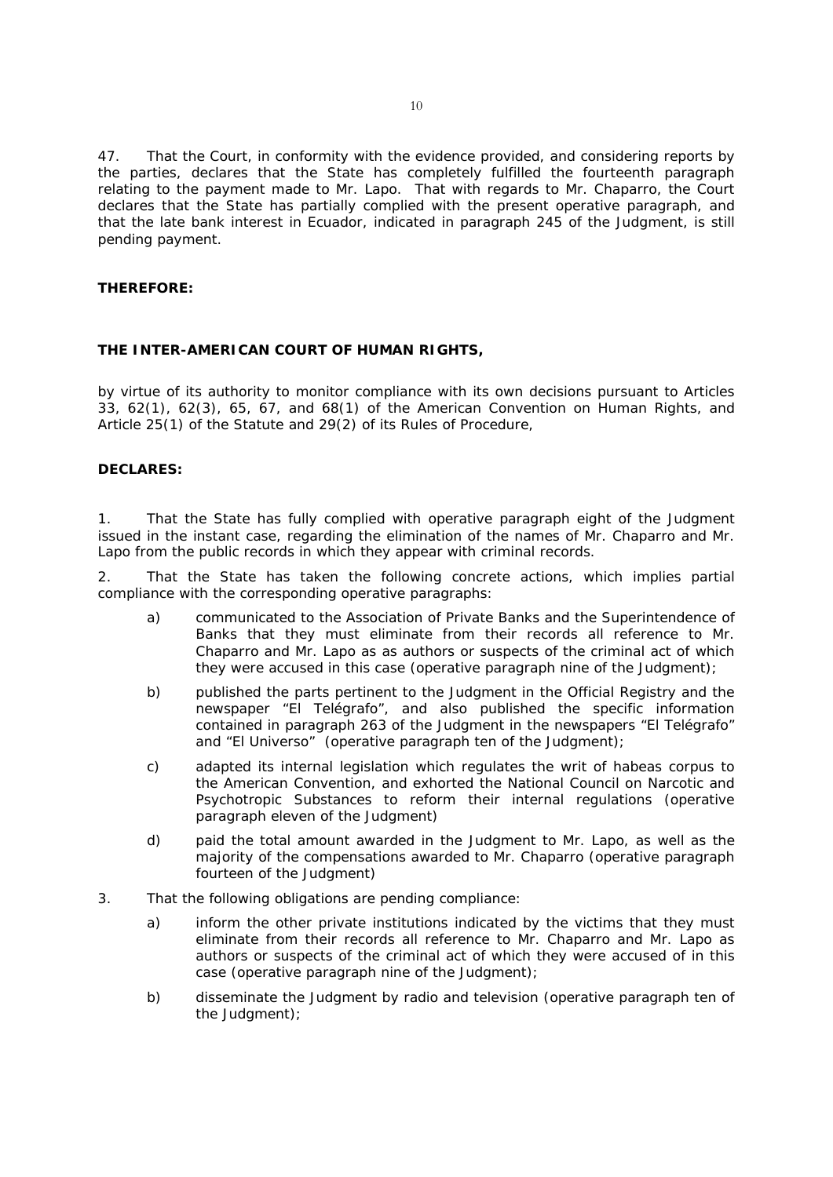47. That the Court, in conformity with the evidence provided, and considering reports by the parties, declares that the State has completely fulfilled the fourteenth paragraph relating to the payment made to Mr. Lapo. That with regards to Mr. Chaparro, the Court declares that the State has partially complied with the present operative paragraph, and that the late bank interest in Ecuador, indicated in paragraph 245 of the Judgment, is still pending payment.

### **THEREFORE:**

### **THE INTER-AMERICAN COURT OF HUMAN RIGHTS,**

by virtue of its authority to monitor compliance with its own decisions pursuant to Articles 33, 62(1), 62(3), 65, 67, and 68(1) of the American Convention on Human Rights, and Article 25(1) of the Statute and 29(2) of its Rules of Procedure,

### **DECLARES:**

1. That the State has fully complied with operative paragraph eight of the Judgment issued in the instant case, regarding the elimination of the names of Mr. Chaparro and Mr. Lapo from the public records in which they appear with criminal records.

2. That the State has taken the following concrete actions, which implies partial compliance with the corresponding operative paragraphs:

- a) communicated to the Association of Private Banks and the Superintendence of Banks that they must eliminate from their records all reference to Mr. Chaparro and Mr. Lapo as as authors or suspects of the criminal act of which they were accused in this case *(operative paragraph nine of the Judgment);*
- b) published the parts pertinent to the Judgment in the Official Registry and the newspaper "El Telégrafo", and also published the specific information contained in paragraph 263 of the Judgment in the newspapers "El Telégrafo" and "El Universo" *(operative paragraph ten of the Judgment);*
- c) adapted its internal legislation which regulates the writ of habeas corpus to the American Convention, and exhorted the National Council on Narcotic and Psychotropic Substances to reform their internal regulations *(operative paragraph eleven of the Judgment)*
- d) paid the total amount awarded in the Judgment to Mr. Lapo, as well as the majority of the compensations awarded to Mr. Chaparro *(operative paragraph fourteen of the Judgment)*
- 3. That the following obligations are pending compliance:
	- a) inform the other private institutions indicated by the victims that they must eliminate from their records all reference to Mr. Chaparro and Mr. Lapo as authors or suspects of the criminal act of which they were accused of in this case *(operative paragraph nine of the Judgment);*
	- b) disseminate the Judgment by radio and television *(operative paragraph ten of the Judgment);*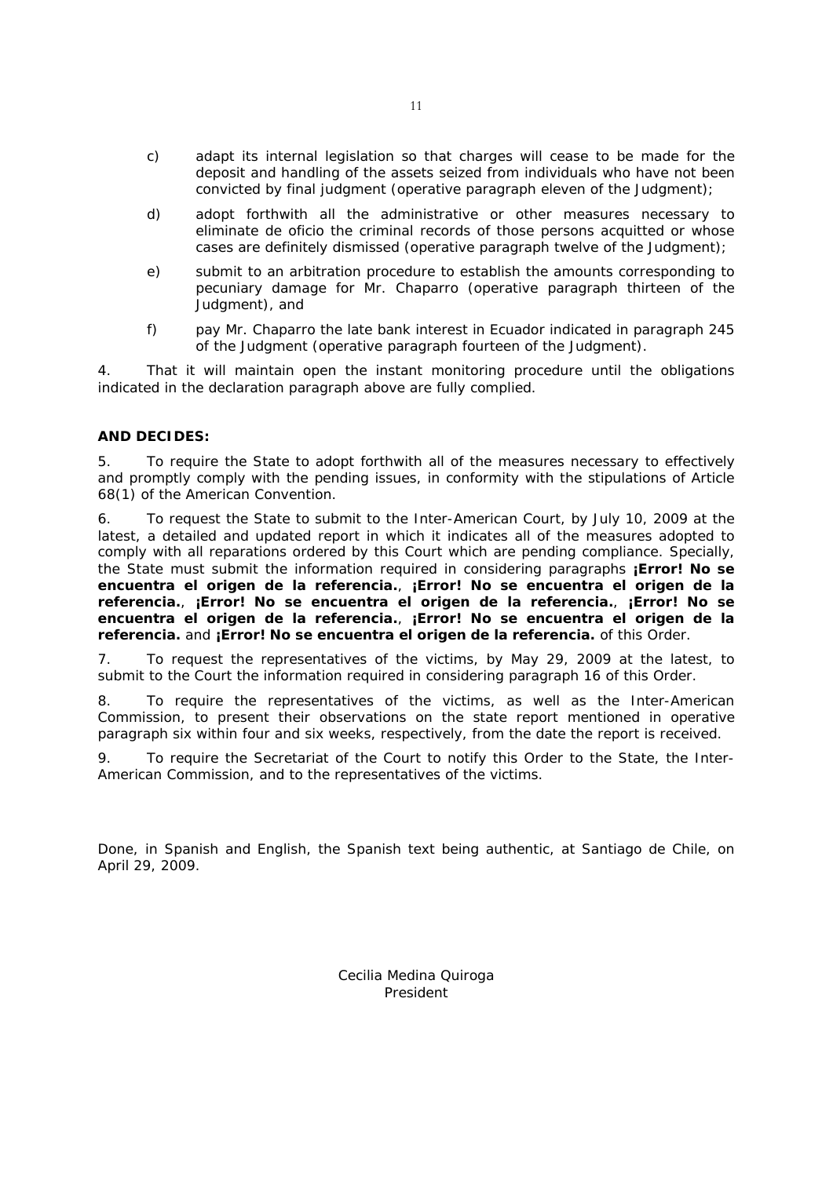- c) adapt its internal legislation so that charges will cease to be made for the deposit and handling of the assets seized from individuals who have not been convicted by final judgment *(operative paragraph eleven of the Judgment);*
- d) adopt forthwith all the administrative or other measures necessary to eliminate *de oficio* the criminal records of those persons acquitted or whose cases are definitely dismissed *(operative paragraph twelve of the Judgment);*
- e) submit to an arbitration procedure to establish the amounts corresponding to pecuniary damage for Mr. Chaparro *(operative paragraph thirteen of the Judgment),* and
- f) pay Mr. Chaparro the late bank interest in Ecuador indicated in paragraph 245 of the Judgment *(operative paragraph fourteen of the Judgment).*

4. That it will maintain open the instant monitoring procedure until the obligations indicated in the declaration paragraph above are fully complied.

# **AND DECIDES:**

5. To require the State to adopt forthwith all of the measures necessary to effectively and promptly comply with the pending issues, in conformity with the stipulations of Article 68(1) of the American Convention.

6. To request the State to submit to the Inter-American Court, by July 10, 2009 at the latest, a detailed and updated report in which it indicates all of the measures adopted to comply with all reparations ordered by this Court which are pending compliance. Specially, the State must submit the information required in considering paragraphs **¡Error! No se encuentra el origen de la referencia.**, **¡Error! No se encuentra el origen de la referencia.**, **¡Error! No se encuentra el origen de la referencia.**, **¡Error! No se encuentra el origen de la referencia.**, **¡Error! No se encuentra el origen de la referencia.** and **¡Error! No se encuentra el origen de la referencia.** of this Order.

7. To request the representatives of the victims, by May 29, 2009 at the latest, to submit to the Court the information required in considering paragraph 16 of this Order.

8. To require the representatives of the victims, as well as the Inter-American Commission, to present their observations on the state report mentioned in operative paragraph six within four and six weeks, respectively, from the date the report is received.

9. To require the Secretariat of the Court to notify this Order to the State, the Inter-American Commission, and to the representatives of the victims.

Done, in Spanish and English, the Spanish text being authentic, at Santiago de Chile, on April 29, 2009.

> Cecilia Medina Quiroga President